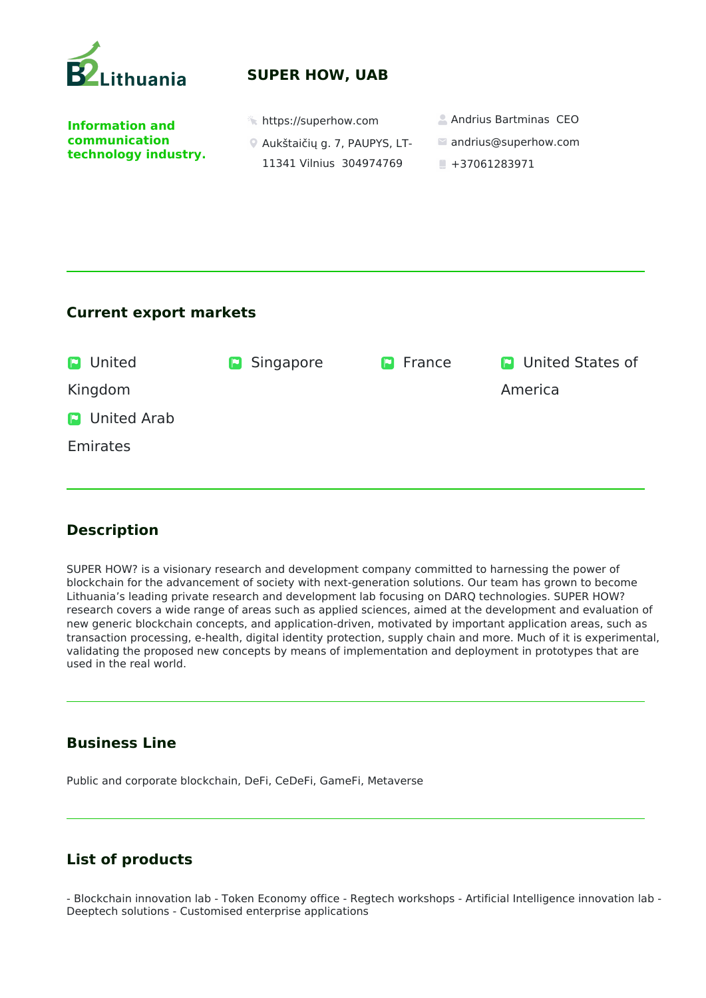

# **SUPER HOW, UAB**

**Information and communication technology industry.** 

- Aukštaičių g. 7, PAUPYS, LT-11341 Vilnius 304974769
- **https://superhow.com Andrius Bartminas CEO** 
	- andrius@superhow.com
	- $+37061283971$

### **Current export markets**

| <b>D</b> United      | <b>D</b> Singapore | <b>D</b> France | <b>P</b> United States of |
|----------------------|--------------------|-----------------|---------------------------|
| Kingdom              |                    |                 | America                   |
| <b>D</b> United Arab |                    |                 |                           |
| Emirates             |                    |                 |                           |
|                      |                    |                 |                           |

## **Description**

SUPER HOW? is a visionary research and development company committed to harnessing the power of blockchain for the advancement of society with next-generation solutions. Our team has grown to become Lithuania's leading private research and development lab focusing on DARQ technologies. SUPER HOW? research covers a wide range of areas such as applied sciences, aimed at the development and evaluation of new generic blockchain concepts, and application-driven, motivated by important application areas, such as transaction processing, e-health, digital identity protection, supply chain and more. Much of it is experimental, validating the proposed new concepts by means of implementation and deployment in prototypes that are used in the real world.

## **Business Line**

Public and corporate blockchain, DeFi, CeDeFi, GameFi, Metaverse

## **List of products**

- Blockchain innovation lab - Token Economy office - Regtech workshops - Artificial Intelligence innovation lab - Deeptech solutions - Customised enterprise applications